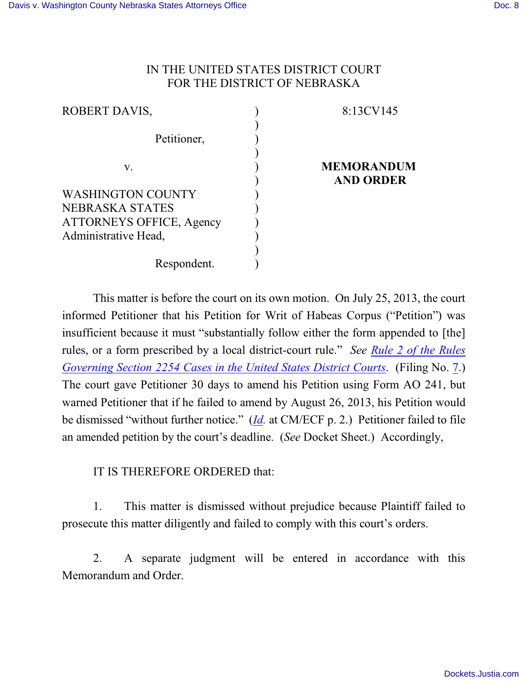## IN THE UNITED STATES DISTRICT COURT FOR THE DISTRICT OF NEBRASKA

| 8:13CV145         |
|-------------------|
|                   |
|                   |
|                   |
| <b>MEMORANDUM</b> |
| <b>AND ORDER</b>  |
|                   |
|                   |
|                   |
|                   |
|                   |
|                   |
|                   |

This matter is before the court on its own motion. On July 25, 2013, the court informed Petitioner that his Petition for Writ of Habeas Corpus ("Petition") was insufficient because it must "substantially follow either the form appended to [the] rules, or a form prescribed by a local district-court rule." *See Rule [2 of the](http://web2.westlaw.com/find/default.wl?rs=CLWP3.0&vr=2.0&cite=SECT+Section+2254&ssl=n) Rules Governing Section 2254 Cases in the [United States District Courts](http://web2.westlaw.com/find/default.wl?rs=CLWP3.0&vr=2.0&cite=SECT+Section+2254&ssl=n)*. (Filing No. [7](https://ecf.ned.uscourts.gov/doc1/11312832616).) The court gave Petitioner 30 days to amend his Petition using Form AO 241, but warned Petitioner that if he failed to amend by August 26, 2013, his Petition would be dismissed "without further notice." (*[Id](https://ecf.ned.uscourts.gov/doc1/11312832616).* at CM/ECF p. 2.) Petitioner failed to file an amended petition by the court's deadline. (*See* Docket Sheet.) Accordingly,

IT IS THEREFORE ORDERED that:

1. This matter is dismissed without prejudice because Plaintiff failed to prosecute this matter diligently and failed to comply with this court's orders.

2. A separate judgment will be entered in accordance with this Memorandum and Order.